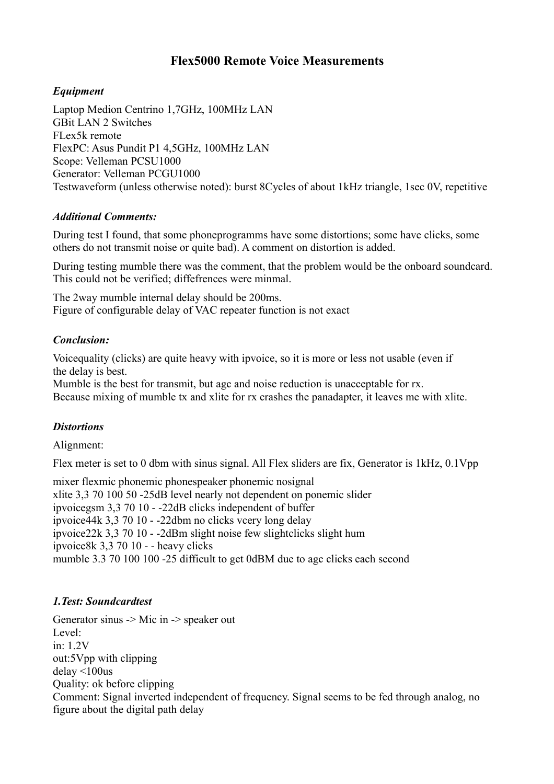# **Flex5000 Remote Voice Measurements**

## *Equipment*

Laptop Medion Centrino 1,7GHz, 100MHz LAN GBit LAN 2 Switches FLex5k remote FlexPC: Asus Pundit P1 4,5GHz, 100MHz LAN Scope: Velleman PCSU1000 Generator: Velleman PCGU1000 Testwaveform (unless otherwise noted): burst 8Cycles of about 1kHz triangle, 1sec 0V, repetitive

#### *Additional Comments:*

During test I found, that some phoneprogramms have some distortions; some have clicks, some others do not transmit noise or quite bad). A comment on distortion is added.

During testing mumble there was the comment, that the problem would be the onboard soundcard. This could not be verified; diffefrences were minmal.

The 2way mumble internal delay should be 200ms. Figure of configurable delay of VAC repeater function is not exact

#### *Conclusion:*

Voicequality (clicks) are quite heavy with ipvoice, so it is more or less not usable (even if the delay is best.

Mumble is the best for transmit, but agc and noise reduction is unacceptable for rx. Because mixing of mumble tx and xlite for rx crashes the panadapter, it leaves me with xlite.

# *Distortions*

Alignment:

Flex meter is set to 0 dbm with sinus signal. All Flex sliders are fix, Generator is 1kHz, 0.1Vpp

mixer flexmic phonemic phonespeaker phonemic nosignal xlite 3,3 70 100 50 -25dB level nearly not dependent on ponemic slider ipvoicegsm 3,3 70 10 - -22dB clicks independent of buffer ipvoice44k 3,3 70 10 - -22dbm no clicks vcery long delay ipvoice22k 3,3 70 10 - -2dBm slight noise few slightclicks slight hum ipvoice8k 3,3 70 10 - - heavy clicks mumble 3.3 70 100 100 -25 difficult to get 0dBM due to agc clicks each second

#### *1.Test: Soundcardtest*

Generator sinus -> Mic in -> speaker out Level: in: 1.2V out:5Vpp with clipping delay <100us Quality: ok before clipping Comment: Signal inverted independent of frequency. Signal seems to be fed through analog, no figure about the digital path delay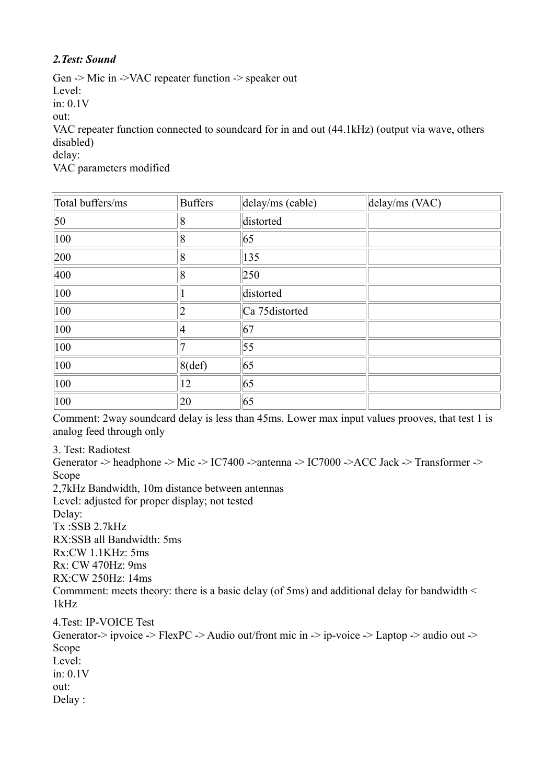### *2.Test: Sound*

Gen -> Mic in ->VAC repeater function -> speaker out Level: in: 0.1V out: VAC repeater function connected to soundcard for in and out (44.1kHz) (output via wave, others disabled) delay:

VAC parameters modified

| Total buffers/ms | <b>Buffers</b> | delay/ms (cable) | delay/ms (VAC) |
|------------------|----------------|------------------|----------------|
| 50               | 8              | distorted        |                |
| 100              | 8              | 65               |                |
| 200              | 8              | $ 135\rangle$    |                |
| 400              | 8              | 250              |                |
| 100              |                | distorted        |                |
| 100              | 2              | Ca 75distorted   |                |
| 100              | $\overline{4}$ | 67               |                |
| 100              |                | 55               |                |
| 100              | $8$ (def)      | 65               |                |
| 100              | 12             | 65               |                |
| 100              | 20             | 65               |                |

Comment: 2way soundcard delay is less than 45ms. Lower max input values prooves, that test 1 is analog feed through only

3. Test: Radiotest

Generator -> headphone -> Mic -> IC7400 ->antenna -> IC7000 ->ACC Jack -> Transformer -> Scope 2,7kHz Bandwidth, 10m distance between antennas Level: adjusted for proper display; not tested Delay:

Tx :SSB 2.7kHz

RX:SSB all Bandwidth: 5ms

Rx:CW 1.1KHz: 5ms

Rx: CW 470Hz: 9ms

RX:CW 250Hz: 14ms

Commment: meets theory: there is a basic delay (of 5ms) and additional delay for bandwidth < 1kHz

4.Test: IP-VOICE Test Generator-> ipvoice -> FlexPC -> Audio out/front mic in -> ip-voice -> Laptop -> audio out -> Scope Level: in: 0.1V out: Delay :